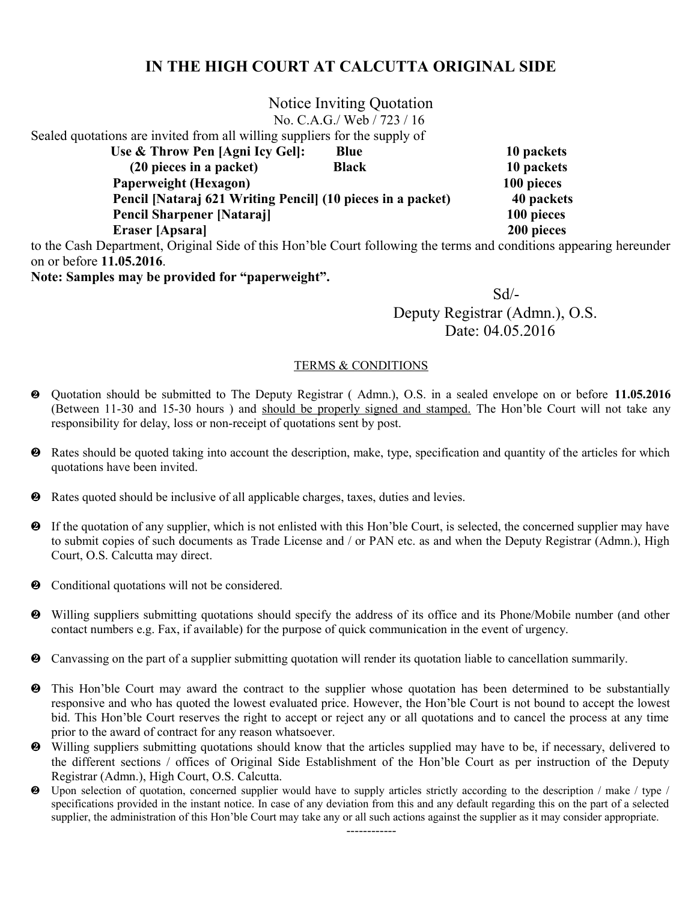|                                                                                                                    | Notice Inviting Quotation  |            |
|--------------------------------------------------------------------------------------------------------------------|----------------------------|------------|
|                                                                                                                    | No. C.A.G./ Web / 723 / 16 |            |
| Sealed quotations are invited from all willing suppliers for the supply of                                         |                            |            |
| Use & Throw Pen [Agni Icy Gel]:                                                                                    | <b>Blue</b>                | 10 packets |
| (20 pieces in a packet)                                                                                            | <b>Black</b>               | 10 packets |
| <b>Paperweight (Hexagon)</b>                                                                                       |                            | 100 pieces |
| Pencil [Nataraj 621 Writing Pencil] (10 pieces in a packet)                                                        |                            | 40 packets |
| <b>Pencil Sharpener [Nataraj]</b>                                                                                  |                            | 100 pieces |
| Eraser [Apsara]                                                                                                    |                            | 200 pieces |
| to the Cash Department, Original Side of this Hon'ble Court following the terms and conditions appearing hereunder |                            |            |
| on or before 11.05.2016.                                                                                           |                            |            |
|                                                                                                                    |                            |            |

**Note: Samples may be provided for "paperweight".**

 Sd/- Deputy Registrar (Admn.), O.S. Date: 04.05.2016

- Quotation should be submitted to The Deputy Registrar ( Admn.), O.S. in a sealed envelope on or before **11.05.2016** (Between 11-30 and 15-30 hours) and should be properly signed and stamped. The Hon'ble Court will not take any responsibility for delay, loss or non-receipt of quotations sent by post.
- Rates should be quoted taking into account the description, make, type, specification and quantity of the articles for which quotations have been invited.
- Rates quoted should be inclusive of all applicable charges, taxes, duties and levies.
- If the quotation of any supplier, which is not enlisted with this Hon'ble Court, is selected, the concerned supplier may have to submit copies of such documents as Trade License and / or PAN etc. as and when the Deputy Registrar (Admn.), High Court, O.S. Calcutta may direct.
- $\bullet$  Conditional quotations will not be considered.
- Willing suppliers submitting quotations should specify the address of its office and its Phone/Mobile number (and other contact numbers e.g. Fax, if available) for the purpose of quick communication in the event of urgency.
- Canvassing on the part of a supplier submitting quotation will render its quotation liable to cancellation summarily.
- This Hon'ble Court may award the contract to the supplier whose quotation has been determined to be substantially responsive and who has quoted the lowest evaluated price. However, the Hon'ble Court is not bound to accept the lowest bid. This Hon'ble Court reserves the right to accept or reject any or all quotations and to cancel the process at any time prior to the award of contract for any reason whatsoever.
- Willing suppliers submitting quotations should know that the articles supplied may have to be, if necessary, delivered to the different sections / offices of Original Side Establishment of the Hon'ble Court as per instruction of the Deputy Registrar (Admn.), High Court, O.S. Calcutta.
- Upon selection of quotation, concerned supplier would have to supply articles strictly according to the description / make / type / specifications provided in the instant notice. In case of any deviation from this and any default regarding this on the part of a selected supplier, the administration of this Hon'ble Court may take any or all such actions against the supplier as it may consider appropriate.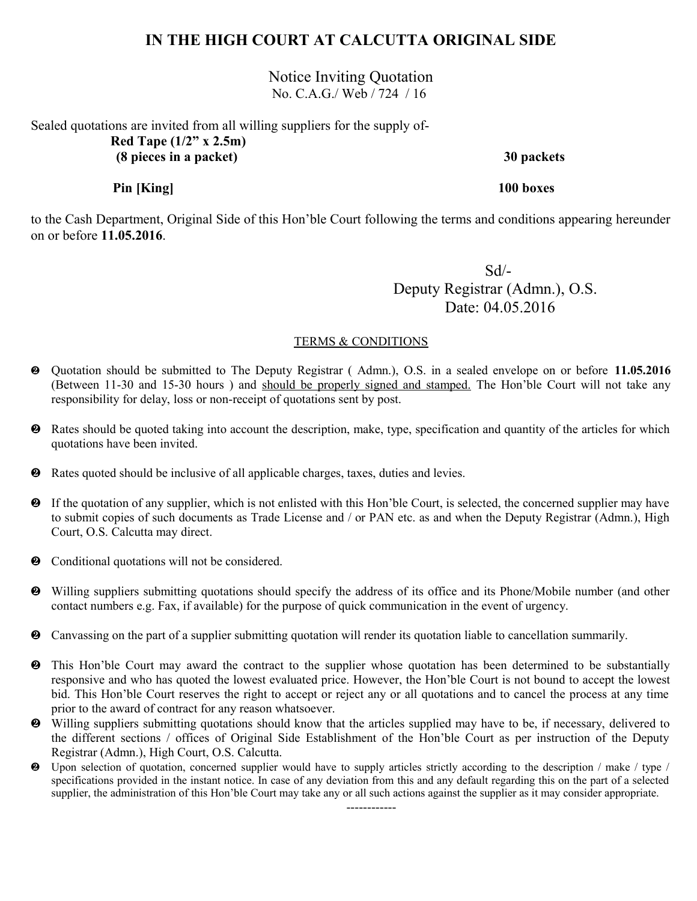Notice Inviting Quotation No. C.A.G./ Web / 724 / 16

Sealed quotations are invited from all willing suppliers for the supply of- **Red Tape (1/2" x 2.5m) (8 pieces in a packet) 30 packets**

 **Pin [King] 100 boxes**

to the Cash Department, Original Side of this Hon'ble Court following the terms and conditions appearing hereunder on or before **11.05.2016**.

 Sd/- Deputy Registrar (Admn.), O.S. Date: 04.05.2016

#### TERMS & CONDITIONS

- Quotation should be submitted to The Deputy Registrar ( Admn.), O.S. in a sealed envelope on or before **11.05.2016** (Between 11-30 and 15-30 hours ) and should be properly signed and stamped. The Hon'ble Court will not take any responsibility for delay, loss or non-receipt of quotations sent by post.
- Rates should be quoted taking into account the description, make, type, specification and quantity of the articles for which quotations have been invited.
- Rates quoted should be inclusive of all applicable charges, taxes, duties and levies.
- If the quotation of any supplier, which is not enlisted with this Hon'ble Court, is selected, the concerned supplier may have to submit copies of such documents as Trade License and / or PAN etc. as and when the Deputy Registrar (Admn.), High Court, O.S. Calcutta may direct.
- $\bullet$  Conditional quotations will not be considered.
- Willing suppliers submitting quotations should specify the address of its office and its Phone/Mobile number (and other contact numbers e.g. Fax, if available) for the purpose of quick communication in the event of urgency.
- Canvassing on the part of a supplier submitting quotation will render its quotation liable to cancellation summarily.
- This Hon'ble Court may award the contract to the supplier whose quotation has been determined to be substantially responsive and who has quoted the lowest evaluated price. However, the Hon'ble Court is not bound to accept the lowest bid. This Hon'ble Court reserves the right to accept or reject any or all quotations and to cancel the process at any time prior to the award of contract for any reason whatsoever.
- Willing suppliers submitting quotations should know that the articles supplied may have to be, if necessary, delivered to the different sections / offices of Original Side Establishment of the Hon'ble Court as per instruction of the Deputy Registrar (Admn.), High Court, O.S. Calcutta.
- Upon selection of quotation, concerned supplier would have to supply articles strictly according to the description / make / type / specifications provided in the instant notice. In case of any deviation from this and any default regarding this on the part of a selected supplier, the administration of this Hon'ble Court may take any or all such actions against the supplier as it may consider appropriate.

------------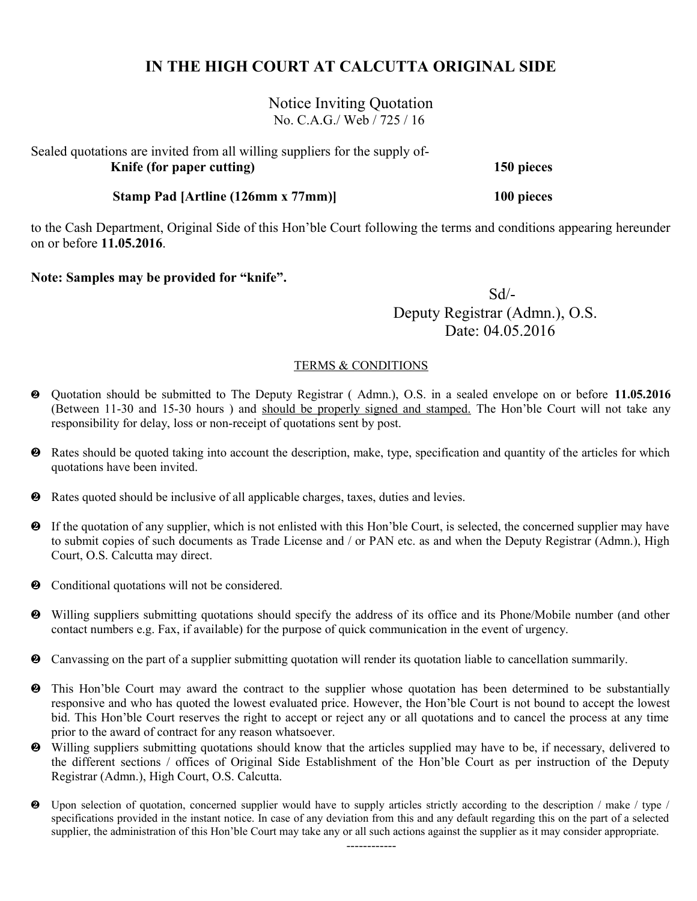Notice Inviting Quotation No. C.A.G./ Web / 725 / 16

Sealed quotations are invited from all willing suppliers for the supply of- **Knife (for paper cutting) 150 pieces**

 **Stamp Pad [Artline (126mm x 77mm)] 100 pieces**

to the Cash Department, Original Side of this Hon'ble Court following the terms and conditions appearing hereunder on or before **11.05.2016**.

**Note: Samples may be provided for "knife".**

 Sd/- Deputy Registrar (Admn.), O.S. Date: 04.05.2016

### TERMS & CONDITIONS

- Quotation should be submitted to The Deputy Registrar ( Admn.), O.S. in a sealed envelope on or before **11.05.2016** (Between 11-30 and 15-30 hours ) and should be properly signed and stamped. The Hon'ble Court will not take any responsibility for delay, loss or non-receipt of quotations sent by post.
- Rates should be quoted taking into account the description, make, type, specification and quantity of the articles for which quotations have been invited.
- Rates quoted should be inclusive of all applicable charges, taxes, duties and levies.
- If the quotation of any supplier, which is not enlisted with this Hon'ble Court, is selected, the concerned supplier may have to submit copies of such documents as Trade License and / or PAN etc. as and when the Deputy Registrar (Admn.), High Court, O.S. Calcutta may direct.
- $\bullet$  Conditional quotations will not be considered.
- Willing suppliers submitting quotations should specify the address of its office and its Phone/Mobile number (and other contact numbers e.g. Fax, if available) for the purpose of quick communication in the event of urgency.
- Canvassing on the part of a supplier submitting quotation will render its quotation liable to cancellation summarily.
- This Hon'ble Court may award the contract to the supplier whose quotation has been determined to be substantially responsive and who has quoted the lowest evaluated price. However, the Hon'ble Court is not bound to accept the lowest bid. This Hon'ble Court reserves the right to accept or reject any or all quotations and to cancel the process at any time prior to the award of contract for any reason whatsoever.
- Willing suppliers submitting quotations should know that the articles supplied may have to be, if necessary, delivered to the different sections / offices of Original Side Establishment of the Hon'ble Court as per instruction of the Deputy Registrar (Admn.), High Court, O.S. Calcutta.
- Upon selection of quotation, concerned supplier would have to supply articles strictly according to the description / make / type / specifications provided in the instant notice. In case of any deviation from this and any default regarding this on the part of a selected supplier, the administration of this Hon'ble Court may take any or all such actions against the supplier as it may consider appropriate.

------------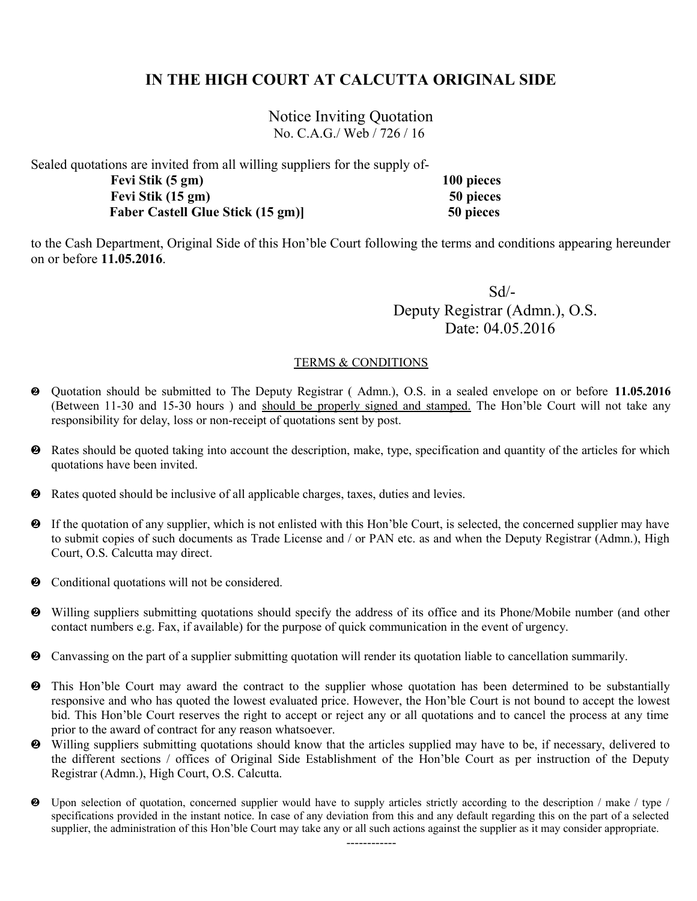Notice Inviting Quotation No. C.A.G./ Web / 726 / 16

Sealed quotations are invited from all willing suppliers for the supply of-

| Fevi Stik (5 gm)                        | 100 pieces |
|-----------------------------------------|------------|
| Fevi Stik (15 gm)                       | 50 pieces  |
| <b>Faber Castell Glue Stick (15 gm)</b> | 50 pieces  |

to the Cash Department, Original Side of this Hon'ble Court following the terms and conditions appearing hereunder on or before **11.05.2016**.

 Sd/- Deputy Registrar (Admn.), O.S. Date: 04.05.2016

- Quotation should be submitted to The Deputy Registrar ( Admn.), O.S. in a sealed envelope on or before **11.05.2016** (Between 11-30 and 15-30 hours ) and should be properly signed and stamped. The Hon'ble Court will not take any responsibility for delay, loss or non-receipt of quotations sent by post.
- Rates should be quoted taking into account the description, make, type, specification and quantity of the articles for which quotations have been invited.
- Rates quoted should be inclusive of all applicable charges, taxes, duties and levies.
- If the quotation of any supplier, which is not enlisted with this Hon'ble Court, is selected, the concerned supplier may have to submit copies of such documents as Trade License and / or PAN etc. as and when the Deputy Registrar (Admn.), High Court, O.S. Calcutta may direct.
- Conditional quotations will not be considered.
- Willing suppliers submitting quotations should specify the address of its office and its Phone/Mobile number (and other contact numbers e.g. Fax, if available) for the purpose of quick communication in the event of urgency.
- Canvassing on the part of a supplier submitting quotation will render its quotation liable to cancellation summarily.
- This Hon'ble Court may award the contract to the supplier whose quotation has been determined to be substantially responsive and who has quoted the lowest evaluated price. However, the Hon'ble Court is not bound to accept the lowest bid. This Hon'ble Court reserves the right to accept or reject any or all quotations and to cancel the process at any time prior to the award of contract for any reason whatsoever.
- Willing suppliers submitting quotations should know that the articles supplied may have to be, if necessary, delivered to the different sections / offices of Original Side Establishment of the Hon'ble Court as per instruction of the Deputy Registrar (Admn.), High Court, O.S. Calcutta.
- Upon selection of quotation, concerned supplier would have to supply articles strictly according to the description / make / type / specifications provided in the instant notice. In case of any deviation from this and any default regarding this on the part of a selected supplier, the administration of this Hon'ble Court may take any or all such actions against the supplier as it may consider appropriate.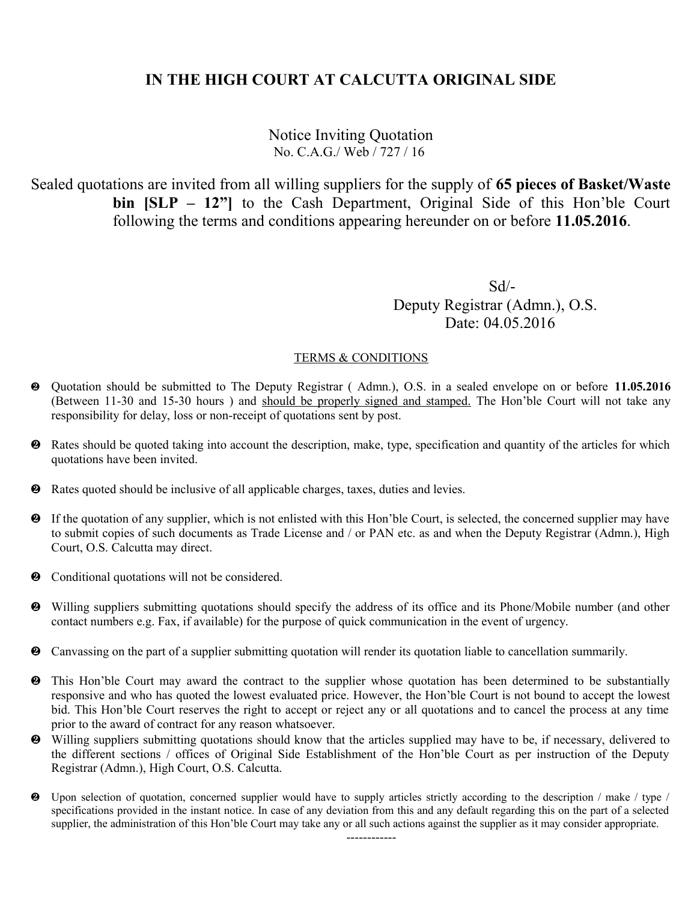### Notice Inviting Quotation No. C.A.G./ Web / 727 / 16

Sealed quotations are invited from all willing suppliers for the supply of **65 pieces of Basket/Waste bin [SLP – 12"]** to the Cash Department, Original Side of this Hon'ble Court following the terms and conditions appearing hereunder on or before **11.05.2016**.

 Sd/- Deputy Registrar (Admn.), O.S. Date: 04.05.2016

- Quotation should be submitted to The Deputy Registrar ( Admn.), O.S. in a sealed envelope on or before **11.05.2016** (Between 11-30 and 15-30 hours ) and should be properly signed and stamped. The Hon'ble Court will not take any responsibility for delay, loss or non-receipt of quotations sent by post.
- Rates should be quoted taking into account the description, make, type, specification and quantity of the articles for which quotations have been invited.
- Rates quoted should be inclusive of all applicable charges, taxes, duties and levies.
- If the quotation of any supplier, which is not enlisted with this Hon'ble Court, is selected, the concerned supplier may have to submit copies of such documents as Trade License and / or PAN etc. as and when the Deputy Registrar (Admn.), High Court, O.S. Calcutta may direct.
- $\bullet$  Conditional quotations will not be considered.
- Willing suppliers submitting quotations should specify the address of its office and its Phone/Mobile number (and other contact numbers e.g. Fax, if available) for the purpose of quick communication in the event of urgency.
- Canvassing on the part of a supplier submitting quotation will render its quotation liable to cancellation summarily.
- This Hon'ble Court may award the contract to the supplier whose quotation has been determined to be substantially responsive and who has quoted the lowest evaluated price. However, the Hon'ble Court is not bound to accept the lowest bid. This Hon'ble Court reserves the right to accept or reject any or all quotations and to cancel the process at any time prior to the award of contract for any reason whatsoever.
- Willing suppliers submitting quotations should know that the articles supplied may have to be, if necessary, delivered to the different sections / offices of Original Side Establishment of the Hon'ble Court as per instruction of the Deputy Registrar (Admn.), High Court, O.S. Calcutta.
- Upon selection of quotation, concerned supplier would have to supply articles strictly according to the description / make / type / specifications provided in the instant notice. In case of any deviation from this and any default regarding this on the part of a selected supplier, the administration of this Hon'ble Court may take any or all such actions against the supplier as it may consider appropriate.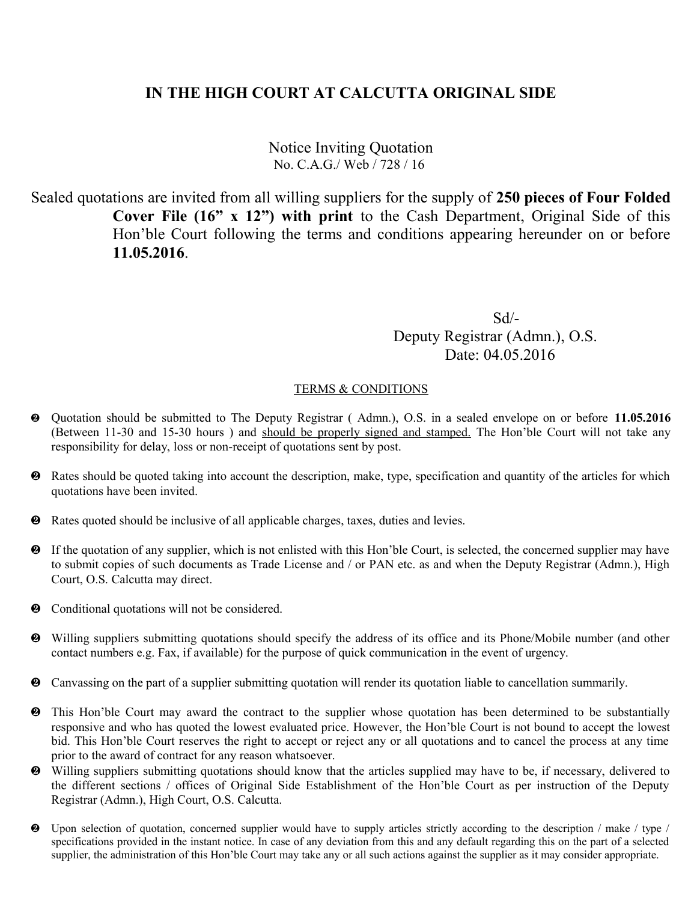Notice Inviting Quotation No. C.A.G./ Web / 728 / 16

Sealed quotations are invited from all willing suppliers for the supply of **250 pieces of Four Folded Cover File (16" x 12") with print** to the Cash Department, Original Side of this Hon'ble Court following the terms and conditions appearing hereunder on or before **11.05.2016**.

 Sd/- Deputy Registrar (Admn.), O.S. Date: 04.05.2016

- Quotation should be submitted to The Deputy Registrar ( Admn.), O.S. in a sealed envelope on or before **11.05.2016** (Between 11-30 and 15-30 hours ) and should be properly signed and stamped. The Hon'ble Court will not take any responsibility for delay, loss or non-receipt of quotations sent by post.
- Rates should be quoted taking into account the description, make, type, specification and quantity of the articles for which quotations have been invited.
- Rates quoted should be inclusive of all applicable charges, taxes, duties and levies.
- If the quotation of any supplier, which is not enlisted with this Hon'ble Court, is selected, the concerned supplier may have to submit copies of such documents as Trade License and / or PAN etc. as and when the Deputy Registrar (Admn.), High Court, O.S. Calcutta may direct.
- $\bullet$  Conditional quotations will not be considered.
- Willing suppliers submitting quotations should specify the address of its office and its Phone/Mobile number (and other contact numbers e.g. Fax, if available) for the purpose of quick communication in the event of urgency.
- Canvassing on the part of a supplier submitting quotation will render its quotation liable to cancellation summarily.
- This Hon'ble Court may award the contract to the supplier whose quotation has been determined to be substantially responsive and who has quoted the lowest evaluated price. However, the Hon'ble Court is not bound to accept the lowest bid. This Hon'ble Court reserves the right to accept or reject any or all quotations and to cancel the process at any time prior to the award of contract for any reason whatsoever.
- Willing suppliers submitting quotations should know that the articles supplied may have to be, if necessary, delivered to the different sections / offices of Original Side Establishment of the Hon'ble Court as per instruction of the Deputy Registrar (Admn.), High Court, O.S. Calcutta.
- Upon selection of quotation, concerned supplier would have to supply articles strictly according to the description / make / type / specifications provided in the instant notice. In case of any deviation from this and any default regarding this on the part of a selected supplier, the administration of this Hon'ble Court may take any or all such actions against the supplier as it may consider appropriate.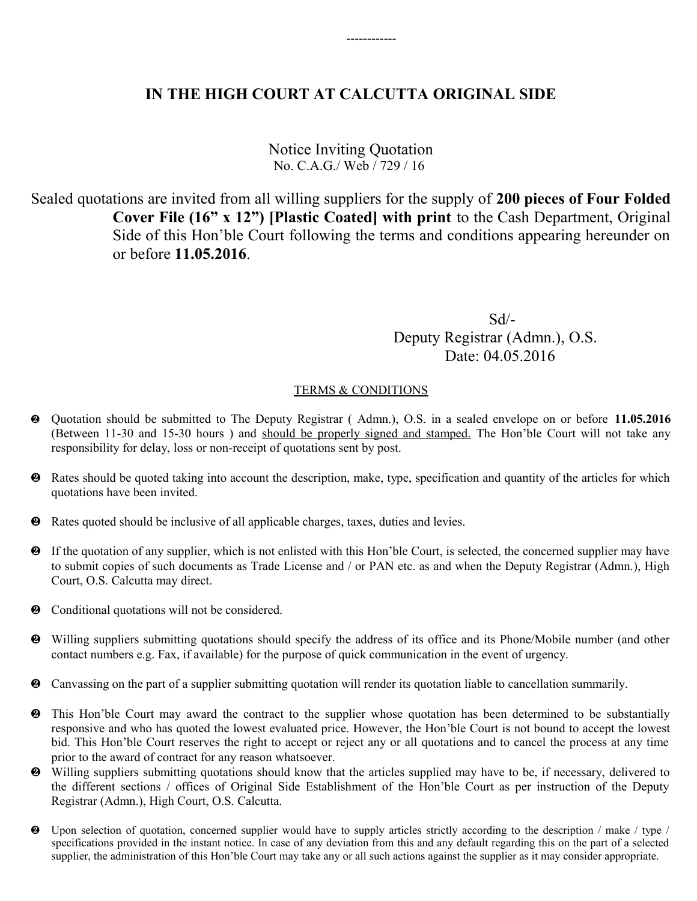------------

Notice Inviting Quotation No. C.A.G./ Web / 729 / 16

Sealed quotations are invited from all willing suppliers for the supply of **200 pieces of Four Folded Cover File (16" x 12") [Plastic Coated] with print** to the Cash Department, Original Side of this Hon'ble Court following the terms and conditions appearing hereunder on or before **11.05.2016**.

 Sd/- Deputy Registrar (Admn.), O.S. Date: 04.05.2016

- Quotation should be submitted to The Deputy Registrar ( Admn.), O.S. in a sealed envelope on or before **11.05.2016** (Between 11-30 and 15-30 hours ) and should be properly signed and stamped. The Hon'ble Court will not take any responsibility for delay, loss or non-receipt of quotations sent by post.
- Rates should be quoted taking into account the description, make, type, specification and quantity of the articles for which quotations have been invited.
- Rates quoted should be inclusive of all applicable charges, taxes, duties and levies.
- If the quotation of any supplier, which is not enlisted with this Hon'ble Court, is selected, the concerned supplier may have to submit copies of such documents as Trade License and / or PAN etc. as and when the Deputy Registrar (Admn.), High Court, O.S. Calcutta may direct.
- $\bullet$  Conditional quotations will not be considered.
- Willing suppliers submitting quotations should specify the address of its office and its Phone/Mobile number (and other contact numbers e.g. Fax, if available) for the purpose of quick communication in the event of urgency.
- Canvassing on the part of a supplier submitting quotation will render its quotation liable to cancellation summarily.
- This Hon'ble Court may award the contract to the supplier whose quotation has been determined to be substantially responsive and who has quoted the lowest evaluated price. However, the Hon'ble Court is not bound to accept the lowest bid. This Hon'ble Court reserves the right to accept or reject any or all quotations and to cancel the process at any time prior to the award of contract for any reason whatsoever.
- Willing suppliers submitting quotations should know that the articles supplied may have to be, if necessary, delivered to the different sections / offices of Original Side Establishment of the Hon'ble Court as per instruction of the Deputy Registrar (Admn.), High Court, O.S. Calcutta.
- Upon selection of quotation, concerned supplier would have to supply articles strictly according to the description / make / type / specifications provided in the instant notice. In case of any deviation from this and any default regarding this on the part of a selected supplier, the administration of this Hon'ble Court may take any or all such actions against the supplier as it may consider appropriate.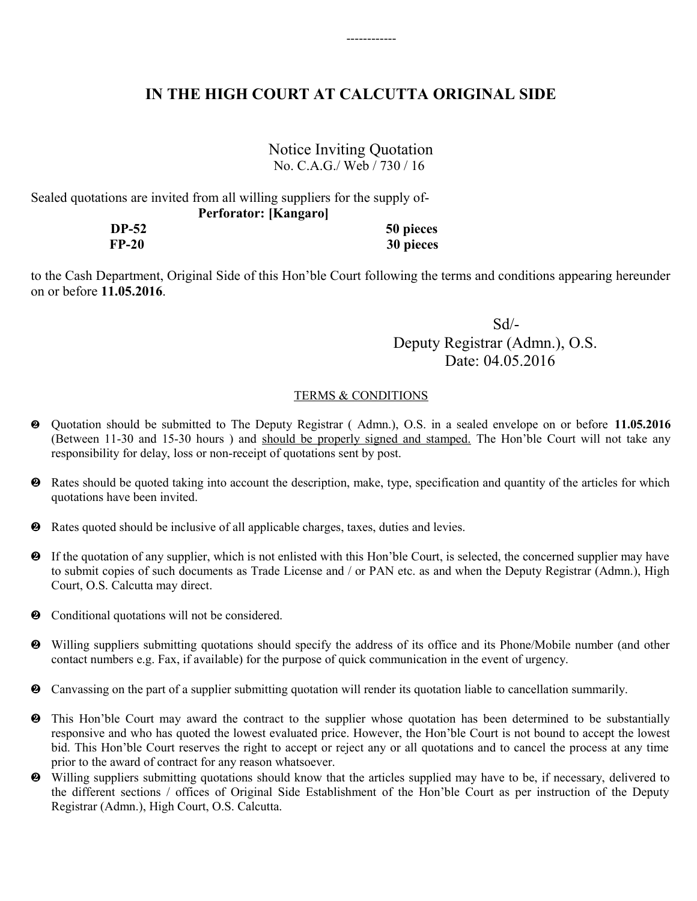------------

### Notice Inviting Quotation No. C.A.G./ Web / 730 / 16

Sealed quotations are invited from all willing suppliers for the supply of- **Perforator: [Kangaro]**

> **DP-52 50 pieces FP-20 30 pieces**

to the Cash Department, Original Side of this Hon'ble Court following the terms and conditions appearing hereunder on or before **11.05.2016**.

 Sd/- Deputy Registrar (Admn.), O.S. Date: 04.05.2016

- Quotation should be submitted to The Deputy Registrar ( Admn.), O.S. in a sealed envelope on or before **11.05.2016** (Between 11-30 and 15-30 hours ) and should be properly signed and stamped. The Hon'ble Court will not take any responsibility for delay, loss or non-receipt of quotations sent by post.
- Rates should be quoted taking into account the description, make, type, specification and quantity of the articles for which quotations have been invited.
- Rates quoted should be inclusive of all applicable charges, taxes, duties and levies.
- If the quotation of any supplier, which is not enlisted with this Hon'ble Court, is selected, the concerned supplier may have to submit copies of such documents as Trade License and / or PAN etc. as and when the Deputy Registrar (Admn.), High Court, O.S. Calcutta may direct.
- $\bullet$  Conditional quotations will not be considered.
- Willing suppliers submitting quotations should specify the address of its office and its Phone/Mobile number (and other contact numbers e.g. Fax, if available) for the purpose of quick communication in the event of urgency.
- Canvassing on the part of a supplier submitting quotation will render its quotation liable to cancellation summarily.
- This Hon'ble Court may award the contract to the supplier whose quotation has been determined to be substantially responsive and who has quoted the lowest evaluated price. However, the Hon'ble Court is not bound to accept the lowest bid. This Hon'ble Court reserves the right to accept or reject any or all quotations and to cancel the process at any time prior to the award of contract for any reason whatsoever.
- Willing suppliers submitting quotations should know that the articles supplied may have to be, if necessary, delivered to the different sections / offices of Original Side Establishment of the Hon'ble Court as per instruction of the Deputy Registrar (Admn.), High Court, O.S. Calcutta.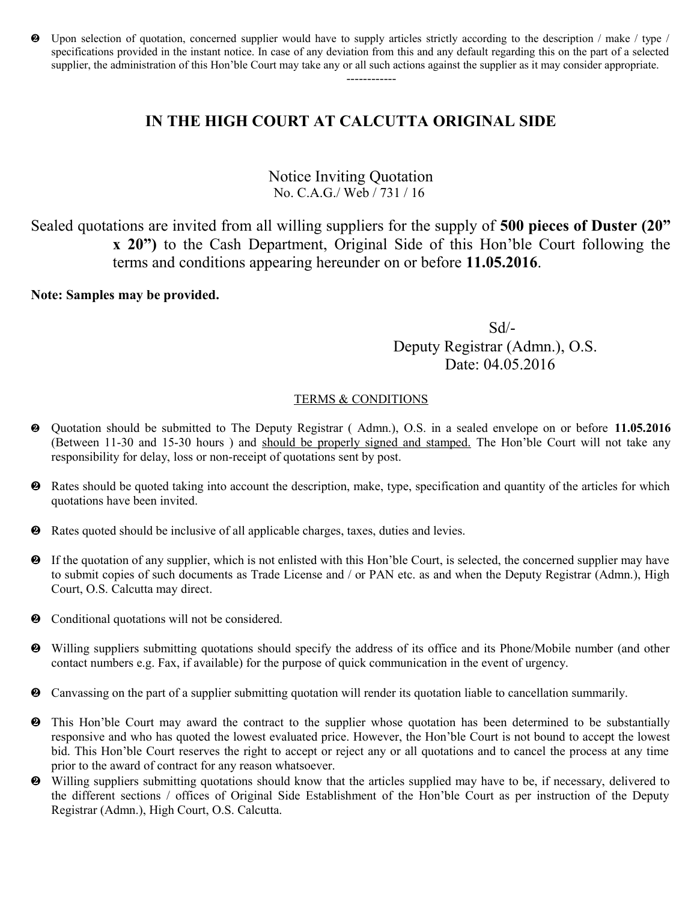Upon selection of quotation, concerned supplier would have to supply articles strictly according to the description / make / type / specifications provided in the instant notice. In case of any deviation from this and any default regarding this on the part of a selected supplier, the administration of this Hon'ble Court may take any or all such actions against the supplier as it may consider appropriate.

------------

# **IN THE HIGH COURT AT CALCUTTA ORIGINAL SIDE**

### Notice Inviting Quotation No. C.A.G./ Web / 731 / 16

Sealed quotations are invited from all willing suppliers for the supply of **500 pieces of Duster (20" x 20")** to the Cash Department, Original Side of this Hon'ble Court following the terms and conditions appearing hereunder on or before **11.05.2016**.

### **Note: Samples may be provided.**

 Sd/- Deputy Registrar (Admn.), O.S. Date: 04.05.2016

- Quotation should be submitted to The Deputy Registrar ( Admn.), O.S. in a sealed envelope on or before **11.05.2016** (Between 11-30 and 15-30 hours ) and should be properly signed and stamped. The Hon'ble Court will not take any responsibility for delay, loss or non-receipt of quotations sent by post.
- Rates should be quoted taking into account the description, make, type, specification and quantity of the articles for which quotations have been invited.
- Rates quoted should be inclusive of all applicable charges, taxes, duties and levies.
- If the quotation of any supplier, which is not enlisted with this Hon'ble Court, is selected, the concerned supplier may have to submit copies of such documents as Trade License and / or PAN etc. as and when the Deputy Registrar (Admn.), High Court, O.S. Calcutta may direct.
- $\bullet$  Conditional quotations will not be considered.
- Willing suppliers submitting quotations should specify the address of its office and its Phone/Mobile number (and other contact numbers e.g. Fax, if available) for the purpose of quick communication in the event of urgency.
- Canvassing on the part of a supplier submitting quotation will render its quotation liable to cancellation summarily.
- This Hon'ble Court may award the contract to the supplier whose quotation has been determined to be substantially responsive and who has quoted the lowest evaluated price. However, the Hon'ble Court is not bound to accept the lowest bid. This Hon'ble Court reserves the right to accept or reject any or all quotations and to cancel the process at any time prior to the award of contract for any reason whatsoever.
- Willing suppliers submitting quotations should know that the articles supplied may have to be, if necessary, delivered to the different sections / offices of Original Side Establishment of the Hon'ble Court as per instruction of the Deputy Registrar (Admn.), High Court, O.S. Calcutta.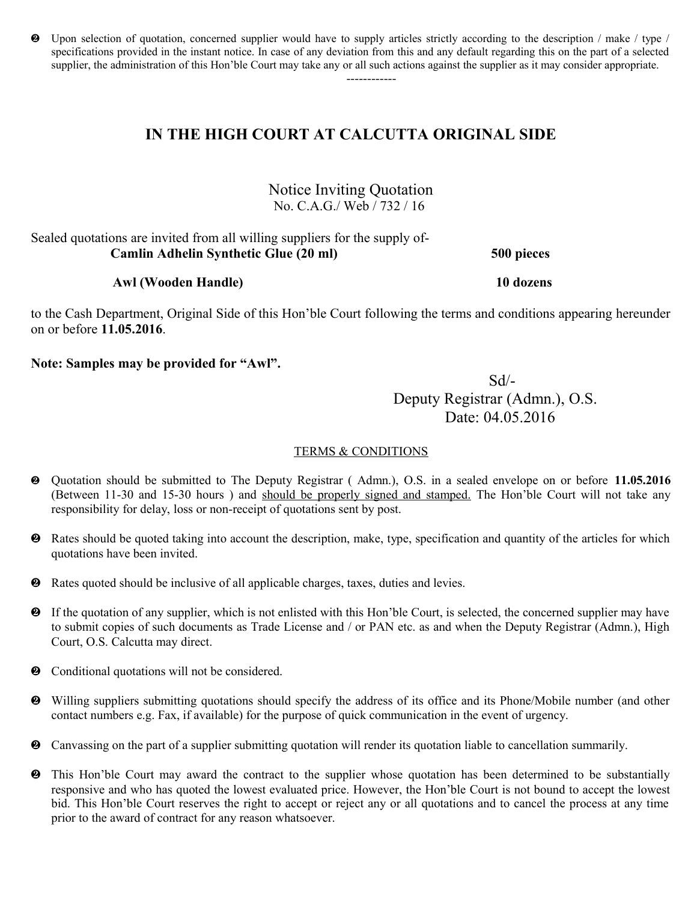Upon selection of quotation, concerned supplier would have to supply articles strictly according to the description / make / type / specifications provided in the instant notice. In case of any deviation from this and any default regarding this on the part of a selected supplier, the administration of this Hon'ble Court may take any or all such actions against the supplier as it may consider appropriate.

------------

## **IN THE HIGH COURT AT CALCUTTA ORIGINAL SIDE**

Notice Inviting Quotation No. C.A.G./ Web / 732 / 16

Sealed quotations are invited from all willing suppliers for the supply of- **Camlin Adhelin Synthetic Glue (20 ml) 500 pieces**

 **Awl (Wooden Handle) 10 dozens**

to the Cash Department, Original Side of this Hon'ble Court following the terms and conditions appearing hereunder on or before **11.05.2016**.

**Note: Samples may be provided for "Awl".**

 Sd/- Deputy Registrar (Admn.), O.S. Date: 04.05.2016

- Quotation should be submitted to The Deputy Registrar ( Admn.), O.S. in a sealed envelope on or before **11.05.2016** (Between 11-30 and 15-30 hours ) and should be properly signed and stamped. The Hon'ble Court will not take any responsibility for delay, loss or non-receipt of quotations sent by post.
- Rates should be quoted taking into account the description, make, type, specification and quantity of the articles for which quotations have been invited.
- Rates quoted should be inclusive of all applicable charges, taxes, duties and levies.
- If the quotation of any supplier, which is not enlisted with this Hon'ble Court, is selected, the concerned supplier may have to submit copies of such documents as Trade License and / or PAN etc. as and when the Deputy Registrar (Admn.), High Court, O.S. Calcutta may direct.
- $\bullet$  Conditional quotations will not be considered.
- Willing suppliers submitting quotations should specify the address of its office and its Phone/Mobile number (and other contact numbers e.g. Fax, if available) for the purpose of quick communication in the event of urgency.
- Canvassing on the part of a supplier submitting quotation will render its quotation liable to cancellation summarily.
- This Hon'ble Court may award the contract to the supplier whose quotation has been determined to be substantially responsive and who has quoted the lowest evaluated price. However, the Hon'ble Court is not bound to accept the lowest bid. This Hon'ble Court reserves the right to accept or reject any or all quotations and to cancel the process at any time prior to the award of contract for any reason whatsoever.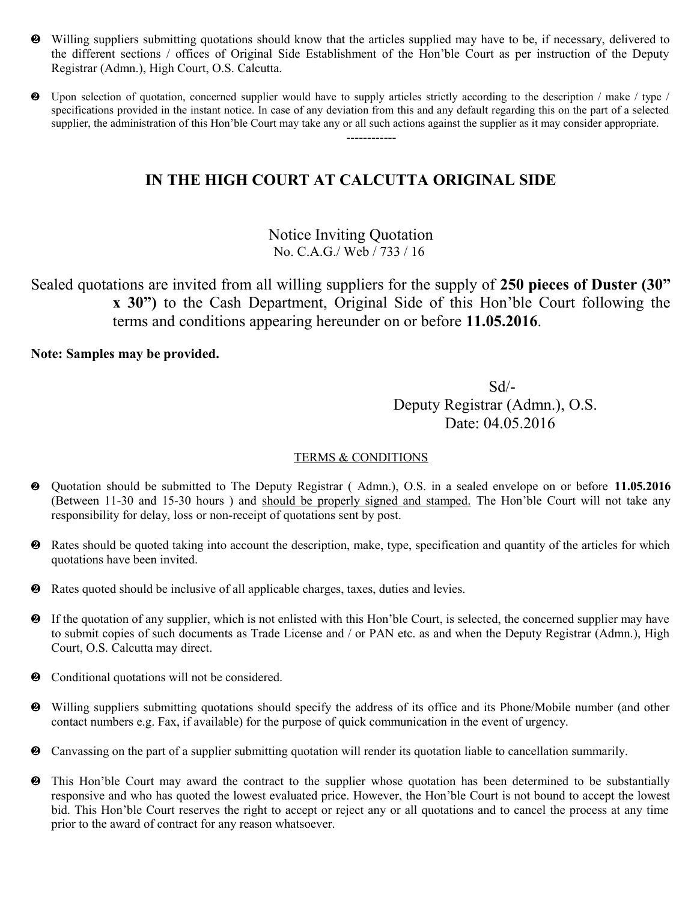- Willing suppliers submitting quotations should know that the articles supplied may have to be, if necessary, delivered to the different sections / offices of Original Side Establishment of the Hon'ble Court as per instruction of the Deputy Registrar (Admn.), High Court, O.S. Calcutta.
- Upon selection of quotation, concerned supplier would have to supply articles strictly according to the description / make / type / specifications provided in the instant notice. In case of any deviation from this and any default regarding this on the part of a selected supplier, the administration of this Hon'ble Court may take any or all such actions against the supplier as it may consider appropriate. ------------

Notice Inviting Quotation No. C.A.G./ Web / 733 / 16

Sealed quotations are invited from all willing suppliers for the supply of **250 pieces of Duster (30" x 30")** to the Cash Department, Original Side of this Hon'ble Court following the terms and conditions appearing hereunder on or before **11.05.2016**.

**Note: Samples may be provided.**

 Sd/- Deputy Registrar (Admn.), O.S. Date: 04.05.2016

- Quotation should be submitted to The Deputy Registrar ( Admn.), O.S. in a sealed envelope on or before **11.05.2016** (Between 11-30 and 15-30 hours ) and should be properly signed and stamped. The Hon'ble Court will not take any responsibility for delay, loss or non-receipt of quotations sent by post.
- Rates should be quoted taking into account the description, make, type, specification and quantity of the articles for which quotations have been invited.
- Rates quoted should be inclusive of all applicable charges, taxes, duties and levies.
- If the quotation of any supplier, which is not enlisted with this Hon'ble Court, is selected, the concerned supplier may have to submit copies of such documents as Trade License and / or PAN etc. as and when the Deputy Registrar (Admn.), High Court, O.S. Calcutta may direct.
- $\bullet$  Conditional quotations will not be considered.
- Willing suppliers submitting quotations should specify the address of its office and its Phone/Mobile number (and other contact numbers e.g. Fax, if available) for the purpose of quick communication in the event of urgency.
- Canvassing on the part of a supplier submitting quotation will render its quotation liable to cancellation summarily.
- This Hon'ble Court may award the contract to the supplier whose quotation has been determined to be substantially responsive and who has quoted the lowest evaluated price. However, the Hon'ble Court is not bound to accept the lowest bid. This Hon'ble Court reserves the right to accept or reject any or all quotations and to cancel the process at any time prior to the award of contract for any reason whatsoever.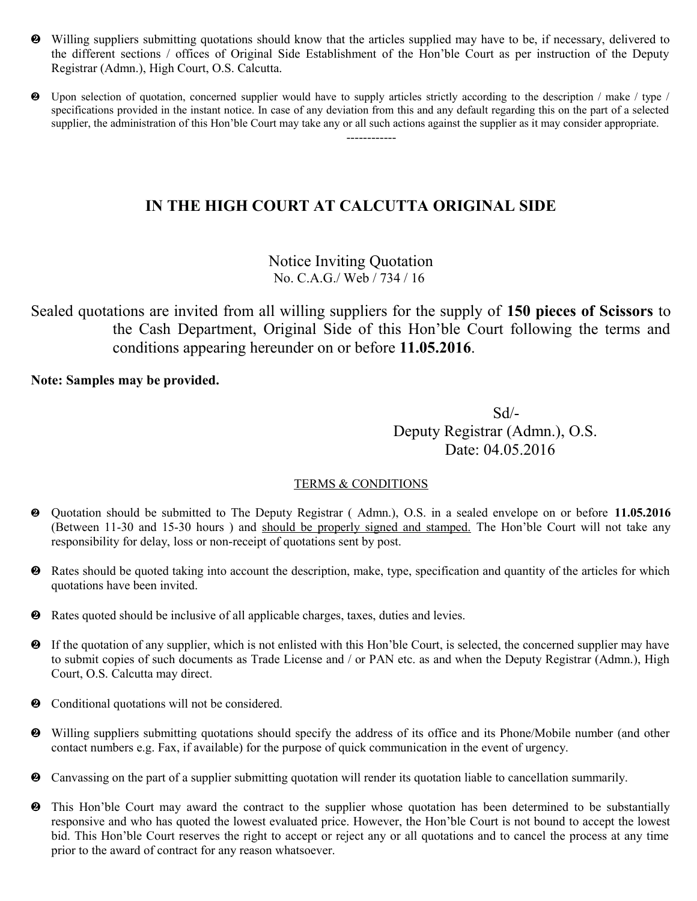- Willing suppliers submitting quotations should know that the articles supplied may have to be, if necessary, delivered to the different sections / offices of Original Side Establishment of the Hon'ble Court as per instruction of the Deputy Registrar (Admn.), High Court, O.S. Calcutta.
- Upon selection of quotation, concerned supplier would have to supply articles strictly according to the description / make / type / specifications provided in the instant notice. In case of any deviation from this and any default regarding this on the part of a selected supplier, the administration of this Hon'ble Court may take any or all such actions against the supplier as it may consider appropriate. ------------

Notice Inviting Quotation No. C.A.G./ Web / 734 / 16

Sealed quotations are invited from all willing suppliers for the supply of **150 pieces of Scissors** to the Cash Department, Original Side of this Hon'ble Court following the terms and conditions appearing hereunder on or before **11.05.2016**.

### **Note: Samples may be provided.**

 Sd/- Deputy Registrar (Admn.), O.S. Date: 04.05.2016

- Quotation should be submitted to The Deputy Registrar ( Admn.), O.S. in a sealed envelope on or before **11.05.2016** (Between 11-30 and 15-30 hours ) and should be properly signed and stamped. The Hon'ble Court will not take any responsibility for delay, loss or non-receipt of quotations sent by post.
- Rates should be quoted taking into account the description, make, type, specification and quantity of the articles for which quotations have been invited.
- Rates quoted should be inclusive of all applicable charges, taxes, duties and levies.
- If the quotation of any supplier, which is not enlisted with this Hon'ble Court, is selected, the concerned supplier may have to submit copies of such documents as Trade License and / or PAN etc. as and when the Deputy Registrar (Admn.), High Court, O.S. Calcutta may direct.
- $\bullet$  Conditional quotations will not be considered.
- Willing suppliers submitting quotations should specify the address of its office and its Phone/Mobile number (and other contact numbers e.g. Fax, if available) for the purpose of quick communication in the event of urgency.
- Canvassing on the part of a supplier submitting quotation will render its quotation liable to cancellation summarily.
- This Hon'ble Court may award the contract to the supplier whose quotation has been determined to be substantially responsive and who has quoted the lowest evaluated price. However, the Hon'ble Court is not bound to accept the lowest bid. This Hon'ble Court reserves the right to accept or reject any or all quotations and to cancel the process at any time prior to the award of contract for any reason whatsoever.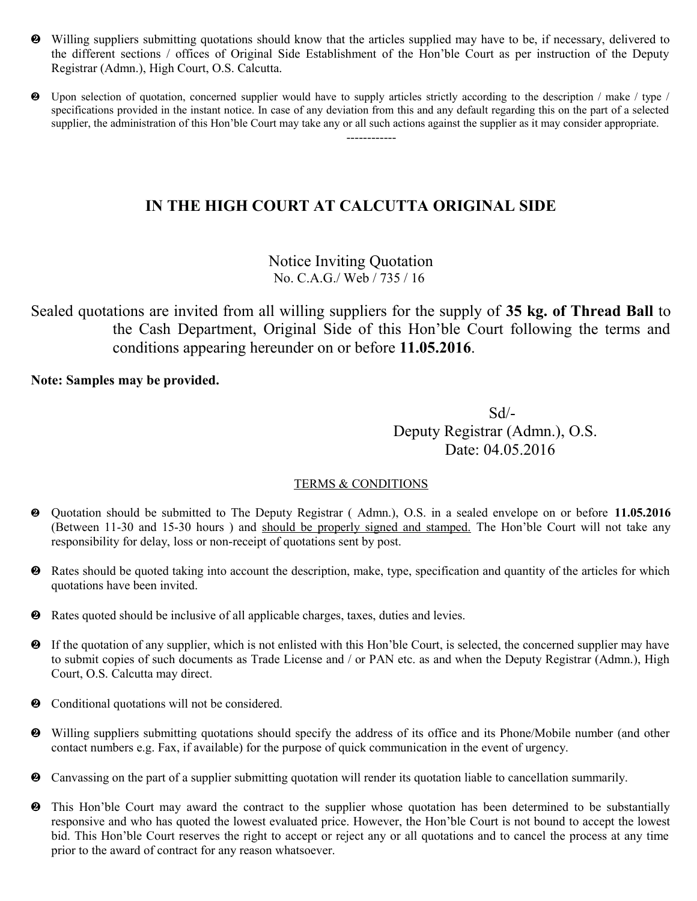- Willing suppliers submitting quotations should know that the articles supplied may have to be, if necessary, delivered to the different sections / offices of Original Side Establishment of the Hon'ble Court as per instruction of the Deputy Registrar (Admn.), High Court, O.S. Calcutta.
- Upon selection of quotation, concerned supplier would have to supply articles strictly according to the description / make / type / specifications provided in the instant notice. In case of any deviation from this and any default regarding this on the part of a selected supplier, the administration of this Hon'ble Court may take any or all such actions against the supplier as it may consider appropriate. ------------

Notice Inviting Quotation No. C.A.G./ Web / 735 / 16

Sealed quotations are invited from all willing suppliers for the supply of **35 kg. of Thread Ball** to the Cash Department, Original Side of this Hon'ble Court following the terms and conditions appearing hereunder on or before **11.05.2016**.

### **Note: Samples may be provided.**

 Sd/- Deputy Registrar (Admn.), O.S. Date: 04.05.2016

- Quotation should be submitted to The Deputy Registrar ( Admn.), O.S. in a sealed envelope on or before **11.05.2016** (Between 11-30 and 15-30 hours ) and should be properly signed and stamped. The Hon'ble Court will not take any responsibility for delay, loss or non-receipt of quotations sent by post.
- Rates should be quoted taking into account the description, make, type, specification and quantity of the articles for which quotations have been invited.
- Rates quoted should be inclusive of all applicable charges, taxes, duties and levies.
- If the quotation of any supplier, which is not enlisted with this Hon'ble Court, is selected, the concerned supplier may have to submit copies of such documents as Trade License and / or PAN etc. as and when the Deputy Registrar (Admn.), High Court, O.S. Calcutta may direct.
- $\odot$  Conditional quotations will not be considered.
- Willing suppliers submitting quotations should specify the address of its office and its Phone/Mobile number (and other contact numbers e.g. Fax, if available) for the purpose of quick communication in the event of urgency.
- Canvassing on the part of a supplier submitting quotation will render its quotation liable to cancellation summarily.
- This Hon'ble Court may award the contract to the supplier whose quotation has been determined to be substantially responsive and who has quoted the lowest evaluated price. However, the Hon'ble Court is not bound to accept the lowest bid. This Hon'ble Court reserves the right to accept or reject any or all quotations and to cancel the process at any time prior to the award of contract for any reason whatsoever.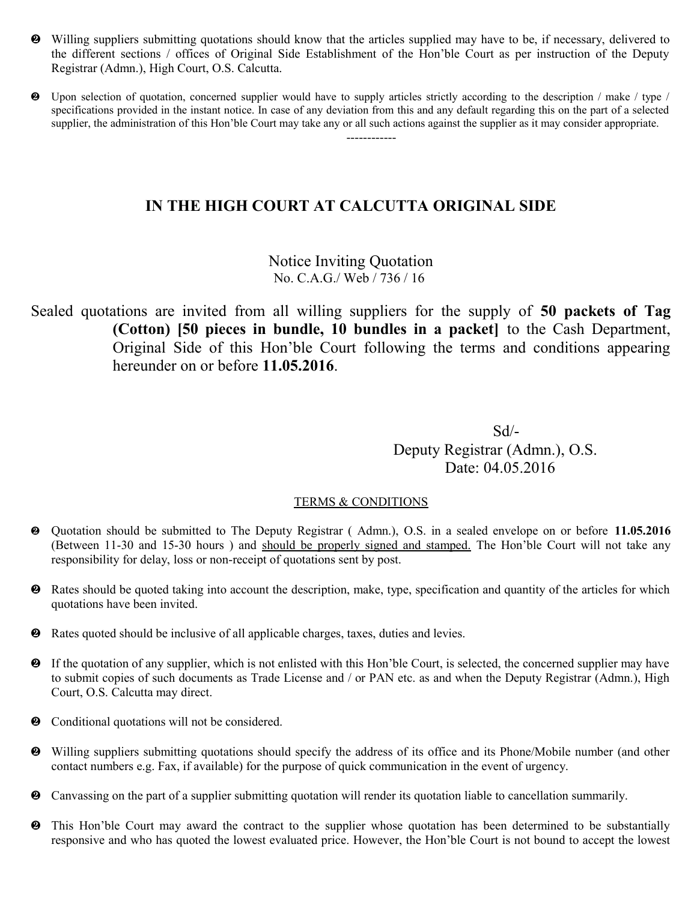- Willing suppliers submitting quotations should know that the articles supplied may have to be, if necessary, delivered to the different sections / offices of Original Side Establishment of the Hon'ble Court as per instruction of the Deputy Registrar (Admn.), High Court, O.S. Calcutta.
- Upon selection of quotation, concerned supplier would have to supply articles strictly according to the description / make / type / specifications provided in the instant notice. In case of any deviation from this and any default regarding this on the part of a selected supplier, the administration of this Hon'ble Court may take any or all such actions against the supplier as it may consider appropriate. ------------

Notice Inviting Quotation No. C.A.G./ Web / 736 / 16

Sealed quotations are invited from all willing suppliers for the supply of **50 packets of Tag (Cotton) [50 pieces in bundle, 10 bundles in a packet]** to the Cash Department, Original Side of this Hon'ble Court following the terms and conditions appearing hereunder on or before **11.05.2016**.

 Sd/- Deputy Registrar (Admn.), O.S. Date: 04.05.2016

- Quotation should be submitted to The Deputy Registrar ( Admn.), O.S. in a sealed envelope on or before **11.05.2016** (Between 11-30 and 15-30 hours ) and should be properly signed and stamped. The Hon'ble Court will not take any responsibility for delay, loss or non-receipt of quotations sent by post.
- Rates should be quoted taking into account the description, make, type, specification and quantity of the articles for which quotations have been invited.
- Rates quoted should be inclusive of all applicable charges, taxes, duties and levies.
- If the quotation of any supplier, which is not enlisted with this Hon'ble Court, is selected, the concerned supplier may have to submit copies of such documents as Trade License and / or PAN etc. as and when the Deputy Registrar (Admn.), High Court, O.S. Calcutta may direct.
- Conditional quotations will not be considered.
- Willing suppliers submitting quotations should specify the address of its office and its Phone/Mobile number (and other contact numbers e.g. Fax, if available) for the purpose of quick communication in the event of urgency.
- Canvassing on the part of a supplier submitting quotation will render its quotation liable to cancellation summarily.
- This Hon'ble Court may award the contract to the supplier whose quotation has been determined to be substantially responsive and who has quoted the lowest evaluated price. However, the Hon'ble Court is not bound to accept the lowest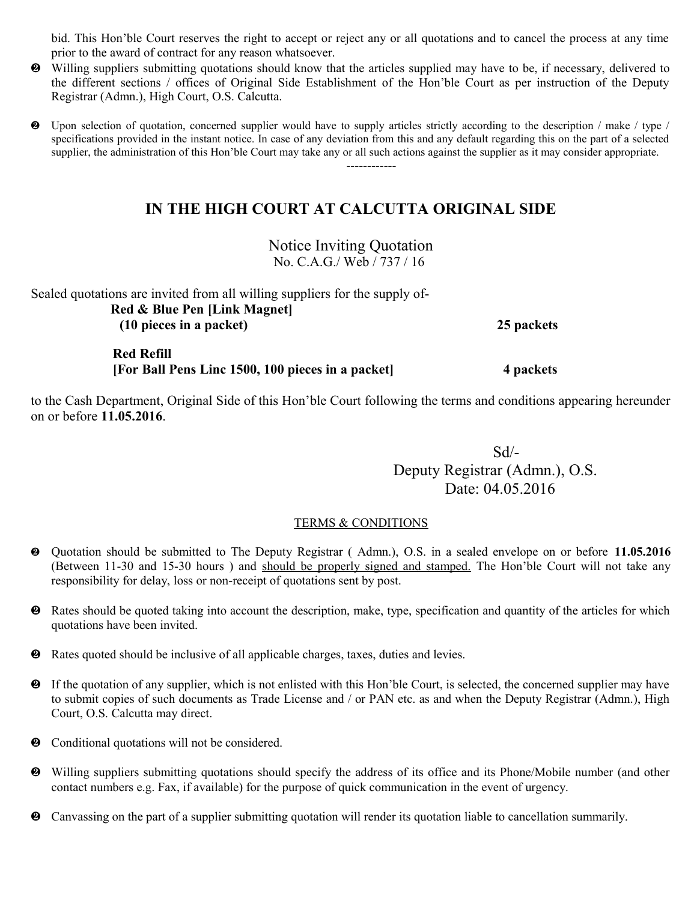bid. This Hon'ble Court reserves the right to accept or reject any or all quotations and to cancel the process at any time prior to the award of contract for any reason whatsoever.

 Willing suppliers submitting quotations should know that the articles supplied may have to be, if necessary, delivered to the different sections / offices of Original Side Establishment of the Hon'ble Court as per instruction of the Deputy Registrar (Admn.), High Court, O.S. Calcutta.

 Upon selection of quotation, concerned supplier would have to supply articles strictly according to the description / make / type / specifications provided in the instant notice. In case of any deviation from this and any default regarding this on the part of a selected supplier, the administration of this Hon'ble Court may take any or all such actions against the supplier as it may consider appropriate. ------------

# **IN THE HIGH COURT AT CALCUTTA ORIGINAL SIDE**

Notice Inviting Quotation No. C.A.G./ Web / 737 / 16

Sealed quotations are invited from all willing suppliers for the supply of- **Red & Blue Pen [Link Magnet] (10 pieces in a packet) 25 packets**

 **Red Refill [For Ball Pens Linc 1500, 100 pieces in a packet] 4 packets**

to the Cash Department, Original Side of this Hon'ble Court following the terms and conditions appearing hereunder on or before **11.05.2016**.

 Sd/- Deputy Registrar (Admn.), O.S. Date: 04.05.2016

- Quotation should be submitted to The Deputy Registrar ( Admn.), O.S. in a sealed envelope on or before **11.05.2016** (Between 11-30 and 15-30 hours ) and should be properly signed and stamped. The Hon'ble Court will not take any responsibility for delay, loss or non-receipt of quotations sent by post.
- Rates should be quoted taking into account the description, make, type, specification and quantity of the articles for which quotations have been invited.
- Rates quoted should be inclusive of all applicable charges, taxes, duties and levies.
- If the quotation of any supplier, which is not enlisted with this Hon'ble Court, is selected, the concerned supplier may have to submit copies of such documents as Trade License and / or PAN etc. as and when the Deputy Registrar (Admn.), High Court, O.S. Calcutta may direct.
- $\bullet$  Conditional quotations will not be considered.
- Willing suppliers submitting quotations should specify the address of its office and its Phone/Mobile number (and other contact numbers e.g. Fax, if available) for the purpose of quick communication in the event of urgency.
- Canvassing on the part of a supplier submitting quotation will render its quotation liable to cancellation summarily.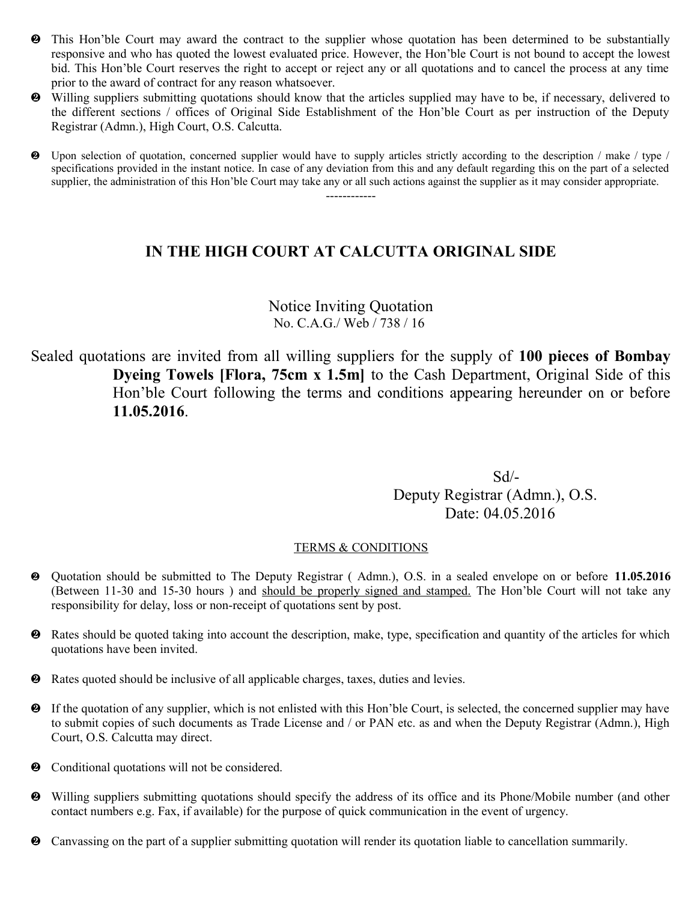- This Hon'ble Court may award the contract to the supplier whose quotation has been determined to be substantially responsive and who has quoted the lowest evaluated price. However, the Hon'ble Court is not bound to accept the lowest bid. This Hon'ble Court reserves the right to accept or reject any or all quotations and to cancel the process at any time prior to the award of contract for any reason whatsoever.
- Willing suppliers submitting quotations should know that the articles supplied may have to be, if necessary, delivered to the different sections / offices of Original Side Establishment of the Hon'ble Court as per instruction of the Deputy Registrar (Admn.), High Court, O.S. Calcutta.
- Upon selection of quotation, concerned supplier would have to supply articles strictly according to the description / make / type / specifications provided in the instant notice. In case of any deviation from this and any default regarding this on the part of a selected supplier, the administration of this Hon'ble Court may take any or all such actions against the supplier as it may consider appropriate. ------------

### Notice Inviting Quotation No. C.A.G./ Web / 738 / 16

Sealed quotations are invited from all willing suppliers for the supply of **100 pieces of Bombay Dyeing Towels [Flora, 75cm x 1.5m]** to the Cash Department, Original Side of this Hon'ble Court following the terms and conditions appearing hereunder on or before **11.05.2016**.

 Sd/- Deputy Registrar (Admn.), O.S. Date: 04.05.2016

- Quotation should be submitted to The Deputy Registrar ( Admn.), O.S. in a sealed envelope on or before **11.05.2016** (Between 11-30 and 15-30 hours ) and should be properly signed and stamped. The Hon'ble Court will not take any responsibility for delay, loss or non-receipt of quotations sent by post.
- Rates should be quoted taking into account the description, make, type, specification and quantity of the articles for which quotations have been invited.
- Rates quoted should be inclusive of all applicable charges, taxes, duties and levies.
- If the quotation of any supplier, which is not enlisted with this Hon'ble Court, is selected, the concerned supplier may have to submit copies of such documents as Trade License and / or PAN etc. as and when the Deputy Registrar (Admn.), High Court, O.S. Calcutta may direct.
- $\bullet$  Conditional quotations will not be considered.
- Willing suppliers submitting quotations should specify the address of its office and its Phone/Mobile number (and other contact numbers e.g. Fax, if available) for the purpose of quick communication in the event of urgency.
- Canvassing on the part of a supplier submitting quotation will render its quotation liable to cancellation summarily.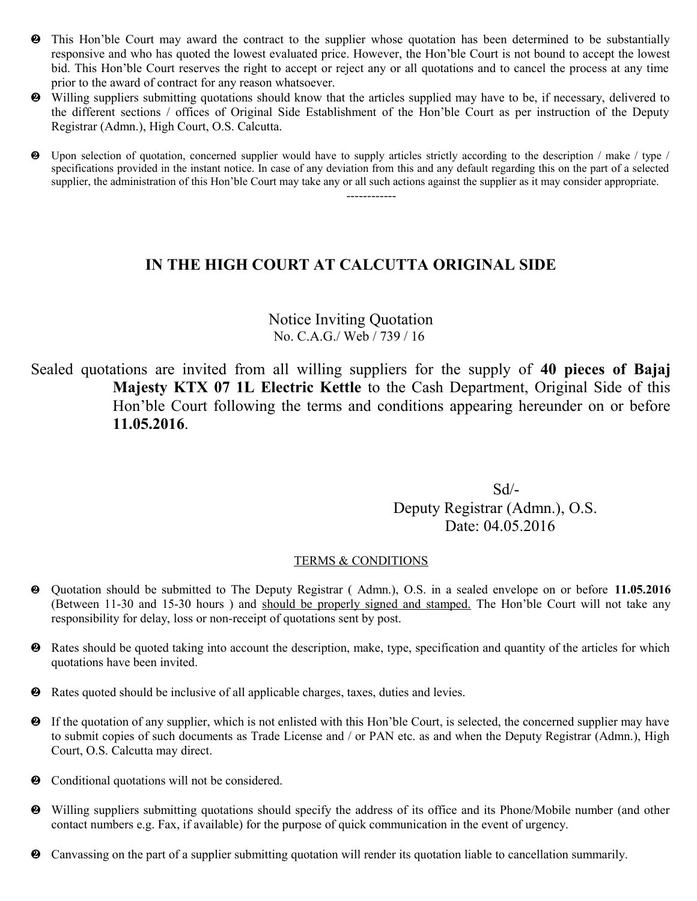- This Hon'ble Court may award the contract to the supplier whose quotation has been determined to be substantially responsive and who has quoted the lowest evaluated price. However, the Hon'ble Court is not bound to accept the lowest bid. This Hon'ble Court reserves the right to accept or reject any or all quotations and to cancel the process at any time prior to the award of contract for any reason whatsoever.
- Willing suppliers submitting quotations should know that the articles supplied may have to be, if necessary, delivered to the different sections / offices of Original Side Establishment of the Hon'ble Court as per instruction of the Deputy Registrar (Admn.), High Court, O.S. Calcutta.
- Upon selection of quotation, concerned supplier would have to supply articles strictly according to the description / make / type / specifications provided in the instant notice. In case of any deviation from this and any default regarding this on the part of a selected supplier, the administration of this Hon'ble Court may take any or all such actions against the supplier as it may consider appropriate. ------------

### Notice Inviting Quotation No. C.A.G./ Web / 739 / 16

Sealed quotations are invited from all willing suppliers for the supply of **40 pieces of Bajaj Majesty KTX 07 1L Electric Kettle** to the Cash Department, Original Side of this Hon'ble Court following the terms and conditions appearing hereunder on or before **11.05.2016**.

 Sd/- Deputy Registrar (Admn.), O.S. Date: 04.05.2016

- Quotation should be submitted to The Deputy Registrar ( Admn.), O.S. in a sealed envelope on or before **11.05.2016** (Between 11-30 and 15-30 hours ) and should be properly signed and stamped. The Hon'ble Court will not take any responsibility for delay, loss or non-receipt of quotations sent by post.
- Rates should be quoted taking into account the description, make, type, specification and quantity of the articles for which quotations have been invited.
- Rates quoted should be inclusive of all applicable charges, taxes, duties and levies.
- If the quotation of any supplier, which is not enlisted with this Hon'ble Court, is selected, the concerned supplier may have to submit copies of such documents as Trade License and / or PAN etc. as and when the Deputy Registrar (Admn.), High Court, O.S. Calcutta may direct.
- $\bullet$  Conditional quotations will not be considered.
- Willing suppliers submitting quotations should specify the address of its office and its Phone/Mobile number (and other contact numbers e.g. Fax, if available) for the purpose of quick communication in the event of urgency.
- Canvassing on the part of a supplier submitting quotation will render its quotation liable to cancellation summarily.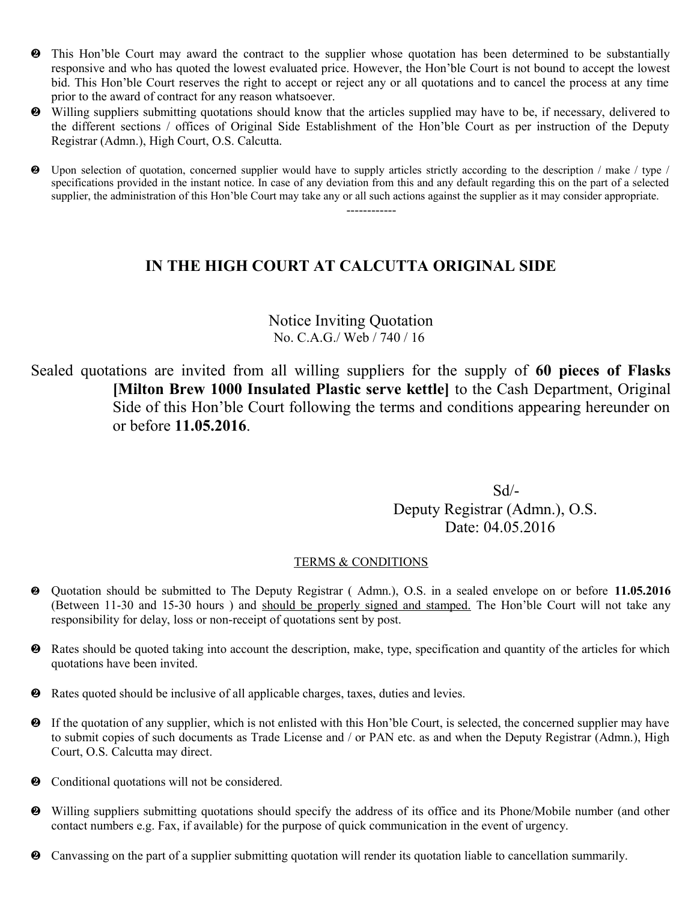- This Hon'ble Court may award the contract to the supplier whose quotation has been determined to be substantially responsive and who has quoted the lowest evaluated price. However, the Hon'ble Court is not bound to accept the lowest bid. This Hon'ble Court reserves the right to accept or reject any or all quotations and to cancel the process at any time prior to the award of contract for any reason whatsoever.
- Willing suppliers submitting quotations should know that the articles supplied may have to be, if necessary, delivered to the different sections / offices of Original Side Establishment of the Hon'ble Court as per instruction of the Deputy Registrar (Admn.), High Court, O.S. Calcutta.
- Upon selection of quotation, concerned supplier would have to supply articles strictly according to the description / make / type / specifications provided in the instant notice. In case of any deviation from this and any default regarding this on the part of a selected supplier, the administration of this Hon'ble Court may take any or all such actions against the supplier as it may consider appropriate.

------------

### **IN THE HIGH COURT AT CALCUTTA ORIGINAL SIDE**

### Notice Inviting Quotation No. C.A.G./ Web / 740 / 16

Sealed quotations are invited from all willing suppliers for the supply of **60 pieces of Flasks [Milton Brew 1000 Insulated Plastic serve kettle]** to the Cash Department, Original Side of this Hon'ble Court following the terms and conditions appearing hereunder on or before **11.05.2016**.

 Sd/- Deputy Registrar (Admn.), O.S. Date: 04.05.2016

- Quotation should be submitted to The Deputy Registrar ( Admn.), O.S. in a sealed envelope on or before **11.05.2016** (Between 11-30 and 15-30 hours ) and should be properly signed and stamped. The Hon'ble Court will not take any responsibility for delay, loss or non-receipt of quotations sent by post.
- Rates should be quoted taking into account the description, make, type, specification and quantity of the articles for which quotations have been invited.
- Rates quoted should be inclusive of all applicable charges, taxes, duties and levies.
- If the quotation of any supplier, which is not enlisted with this Hon'ble Court, is selected, the concerned supplier may have to submit copies of such documents as Trade License and / or PAN etc. as and when the Deputy Registrar (Admn.), High Court, O.S. Calcutta may direct.
- $\bullet$  Conditional quotations will not be considered.
- Willing suppliers submitting quotations should specify the address of its office and its Phone/Mobile number (and other contact numbers e.g. Fax, if available) for the purpose of quick communication in the event of urgency.
- Canvassing on the part of a supplier submitting quotation will render its quotation liable to cancellation summarily.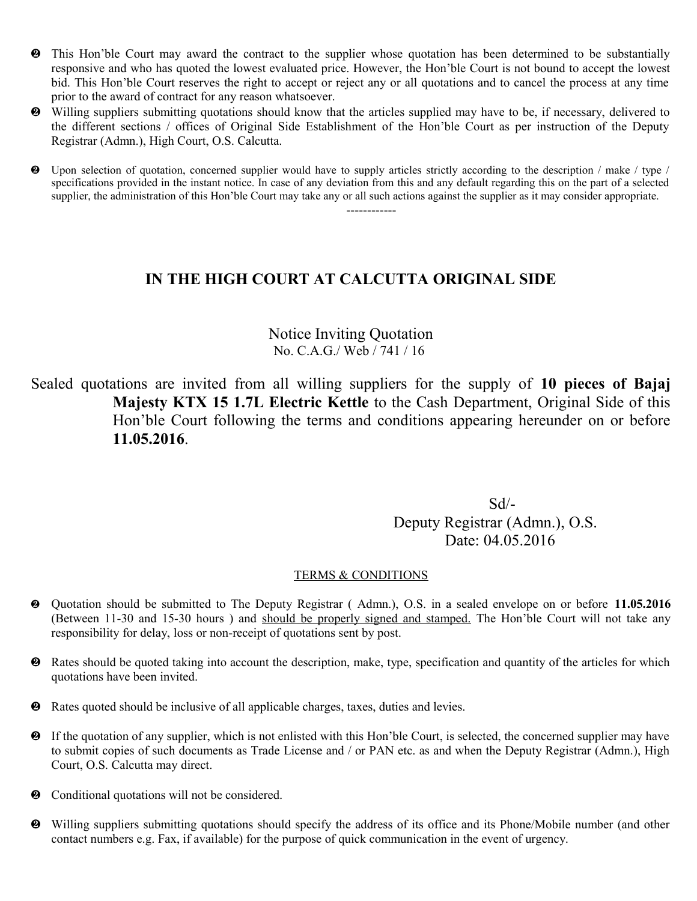- This Hon'ble Court may award the contract to the supplier whose quotation has been determined to be substantially responsive and who has quoted the lowest evaluated price. However, the Hon'ble Court is not bound to accept the lowest bid. This Hon'ble Court reserves the right to accept or reject any or all quotations and to cancel the process at any time prior to the award of contract for any reason whatsoever.
- Willing suppliers submitting quotations should know that the articles supplied may have to be, if necessary, delivered to the different sections / offices of Original Side Establishment of the Hon'ble Court as per instruction of the Deputy Registrar (Admn.), High Court, O.S. Calcutta.
- Upon selection of quotation, concerned supplier would have to supply articles strictly according to the description / make / type / specifications provided in the instant notice. In case of any deviation from this and any default regarding this on the part of a selected supplier, the administration of this Hon'ble Court may take any or all such actions against the supplier as it may consider appropriate.

------------

### **IN THE HIGH COURT AT CALCUTTA ORIGINAL SIDE**

### Notice Inviting Quotation No. C.A.G./ Web / 741 / 16

Sealed quotations are invited from all willing suppliers for the supply of **10 pieces of Bajaj Majesty KTX 15 1.7L Electric Kettle** to the Cash Department, Original Side of this Hon'ble Court following the terms and conditions appearing hereunder on or before **11.05.2016**.

 Sd/- Deputy Registrar (Admn.), O.S. Date: 04.05.2016

- Quotation should be submitted to The Deputy Registrar ( Admn.), O.S. in a sealed envelope on or before **11.05.2016** (Between 11-30 and 15-30 hours ) and should be properly signed and stamped. The Hon'ble Court will not take any responsibility for delay, loss or non-receipt of quotations sent by post.
- **2** Rates should be quoted taking into account the description, make, type, specification and quantity of the articles for which quotations have been invited.
- Rates quoted should be inclusive of all applicable charges, taxes, duties and levies.
- If the quotation of any supplier, which is not enlisted with this Hon'ble Court, is selected, the concerned supplier may have to submit copies of such documents as Trade License and / or PAN etc. as and when the Deputy Registrar (Admn.), High Court, O.S. Calcutta may direct.
- $\bullet$  Conditional quotations will not be considered.
- Willing suppliers submitting quotations should specify the address of its office and its Phone/Mobile number (and other contact numbers e.g. Fax, if available) for the purpose of quick communication in the event of urgency.